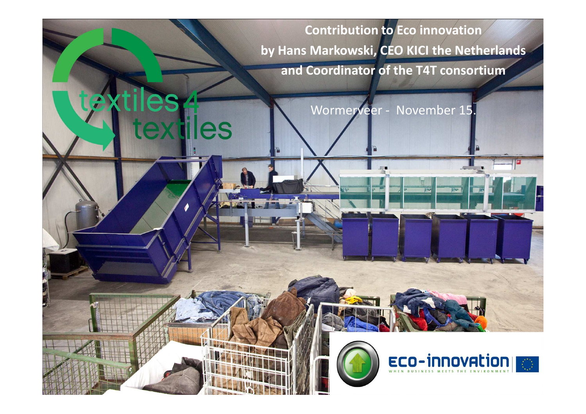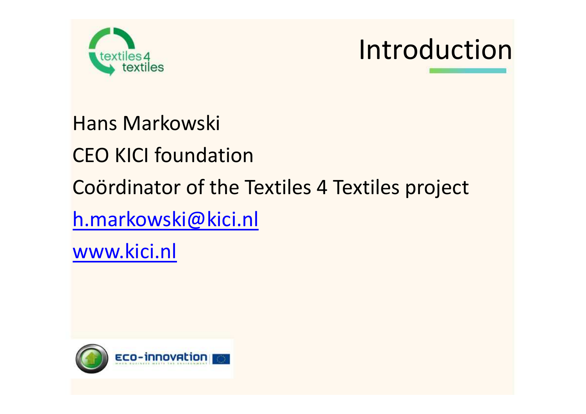



Hans Markowski

CEO KICI foundation

Coördinator of the Textiles 4 Textiles project

h.markowski@kici.nl

www.kici.nl

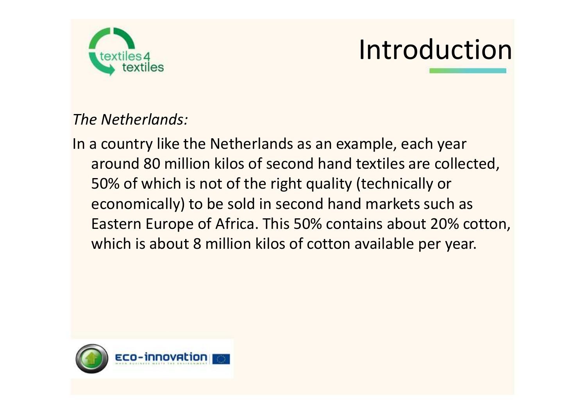

## Introduction

*The Netherlands:*

In a country like the Netherlands as an example, each year around 80 million kilos of second hand textiles are collected, 50% of which is not of the right quality (technically or economically) to be sold in second hand markets such as Eastern Europe of Africa. This 50% contains about 20% cotton, which is about 8 million kilos of cotton available per year.

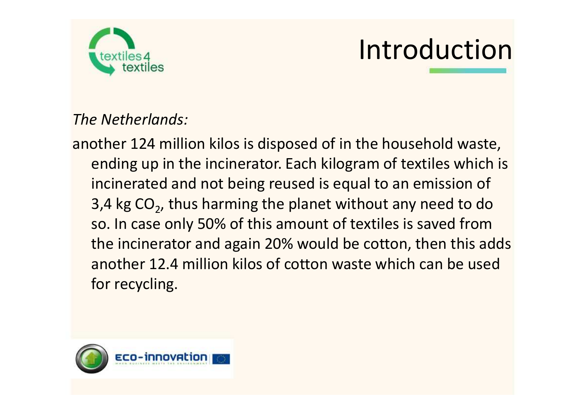

## Introduction

*The Netherlands:*

another 124 million kilos is disposed of in the household waste, ending up in the incinerator. Each kilogram of textiles which is incinerated and not being reused is equal to an emission of 3,4 kg  $CO<sub>2</sub>$ , thus harming the planet without any need to do so. In case only 50% of this amount of textiles is saved from the incinerator and again 20% would be cotton, then this adds another 12.4 million kilos of cotton waste which can be used for recycling.

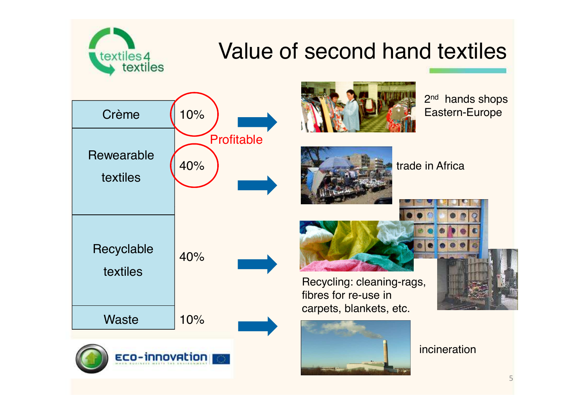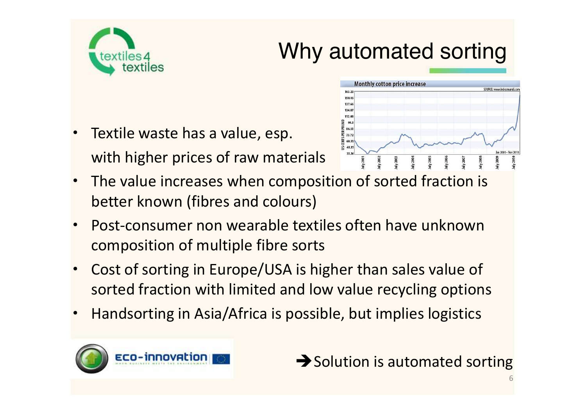

#### Why automated sorting

Monthly cotton price increase

150.4 137.6  $124.8$ 112.0 oo 86.51 Textile waste has a value, esp. 置 73.7

 $163.2$ 

- with higher prices of raw materials • The value increases when composition of sorted fraction is better known (fibres and colours)
- Post-consumer non wearable textiles often have unknown composition of multiple fibre sorts
- Cost of sorting in Europe/USA is higher than sales value of sorted fraction with limited and low value recycling options
- Handsorting in Asia/Africa is possible, but implies logistics



 $\rightarrow$  Solution is automated sorting

SOURCE: www.indexmund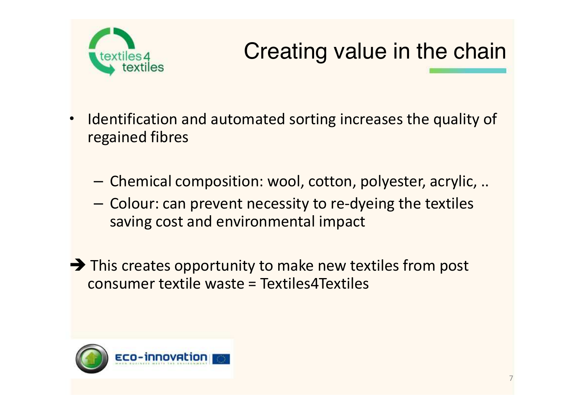

### Creating value in the chain

- Identification and automated sorting increases the quality of regained fibres
	- Chemical composition: wool, cotton, polyester, acrylic, ..
	- Colour: can prevent necessity to re-dyeing the textiles saving cost and environmental impact

 $\rightarrow$  This creates opportunity to make new textiles from post consumer textile waste = Textiles4Textiles

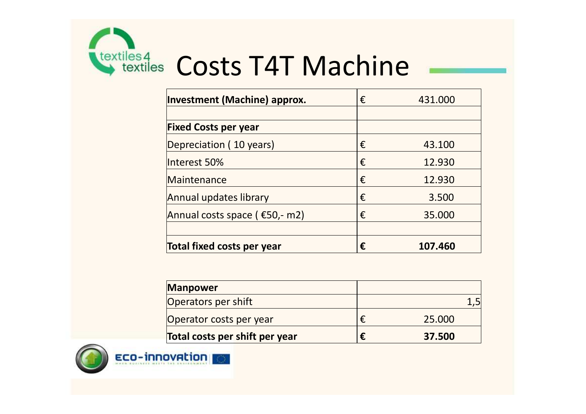

# **TEART ENGLISHER AND COSTS T4T Machine**

| <b>Investment (Machine) approx.</b> | € | 431.000 |
|-------------------------------------|---|---------|
|                                     |   |         |
| <b>Fixed Costs per year</b>         |   |         |
| Depreciation (10 years)             | € | 43.100  |
| llnterest 50%                       | € | 12.930  |
| Maintenance                         | € | 12.930  |
| Annual updates library              | € | 3.500   |
| Annual costs space ( €50,- m2)      | € | 35.000  |
|                                     |   |         |
| Total fixed costs per year          | € | 107.460 |

| <b>Manpower</b>                |        |
|--------------------------------|--------|
| Operators per shift            |        |
| Operator costs per year        | 25,000 |
| Total costs per shift per year | 37.500 |



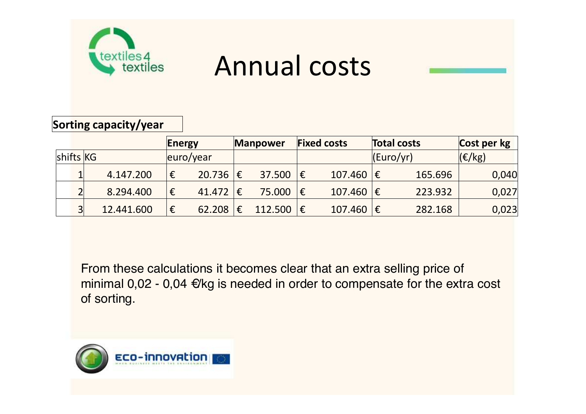

### Annual costs



|           | Energy         |            | <b>Fixed costs</b><br><b>Manpower</b> |            | <b>Total costs</b> |         | Cost per kg                     |               |  |           |                |
|-----------|----------------|------------|---------------------------------------|------------|--------------------|---------|---------------------------------|---------------|--|-----------|----------------|
| shifts KG |                |            |                                       | euro/year  |                    |         |                                 |               |  | (Euro/yr) | $ E/kg\rangle$ |
|           |                | 4.147.200  | €                                     | 20.736  €  |                    | 37.500  | ∣€                              | $107.460 \in$ |  | 165.696   | 0,040          |
|           | ∍              | 8.294.400  | €                                     | 41.472   € |                    | 75.000  | ∣€                              | $107.460$   € |  | 223.932   | 0,027          |
|           | 3 <sup>1</sup> | 12.441.600 | €                                     | 62.208     | €                  | 112.500 | $\vert \mathbf{\epsilon} \vert$ | $107.460 \in$ |  | 282.168   | 0,023          |

From these calculations it becomes clear that an extra selling price of minimal 0,02 - 0,04 €/kg is needed in order to compensate for the extra cost of sorting.

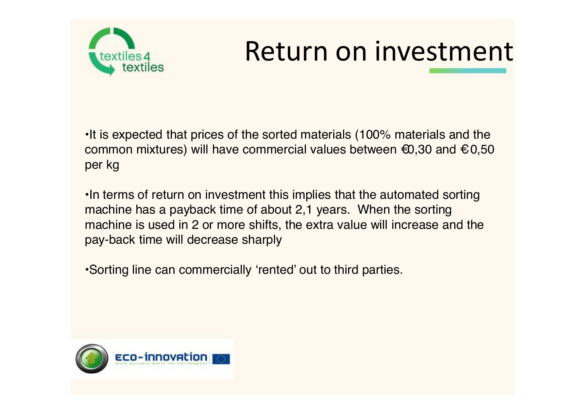

## Return on investment

•It is expected that prices of the sorted materials (100% materials and the common mixtures) will have commercial values between  $\epsilon$ 0,30 and  $\epsilon$ 0,50 per kg

•In terms of return on investment this implies that the automated sorting machine has a payback time of about 2,1 years. When the sorting machine is used in 2 or more shifts, the extra value will increase and the pay-back time will decrease sharply

•Sorting line can commercially 'rented' out to third parties.

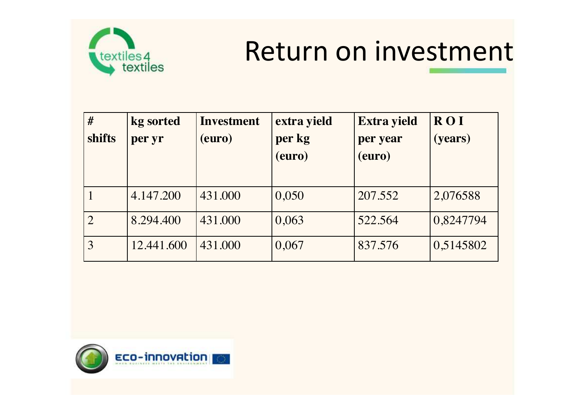

### Return on investment

| #<br>shifts | kg sorted<br>per yr | <b>Investment</b><br>(euro) | extra yield<br>per kg<br>(euro) | <b>Extra yield</b><br>per year<br>(euro) | <b>ROI</b><br>(years) |
|-------------|---------------------|-----------------------------|---------------------------------|------------------------------------------|-----------------------|
|             | 4.147.200           | 431.000                     | 0,050                           | 207.552                                  | 2,076588              |
|             | 8.294.400           | 431.000                     | 0,063                           | 522.564                                  | 0,8247794             |
|             | 12.441.600          | 431.000                     | 0,067                           | 837.576                                  | 0,5145802             |

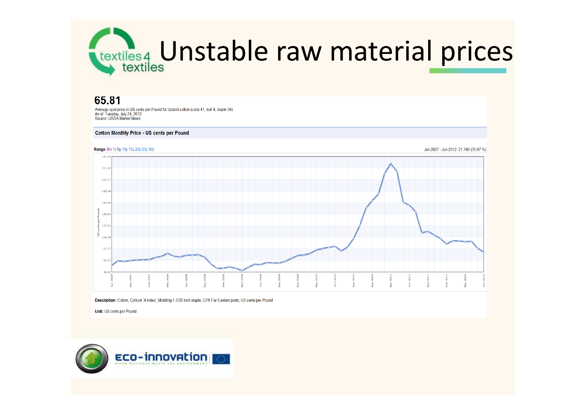

#### 65.81

Average spot price in US cents per Pound for Upland cotton (color 41, leaf 4, staple 34) As of: Tuesday, July 24, 2012 Source: USDA Market News

#### **Cotton Monthly Price - US cents per Pound**



Description: Cotton, Cotlook 'A Index', Middling 1-3/32 inch staple, CFR Far Eastern ports, US cents per Pound

Unit: US cents per Pound